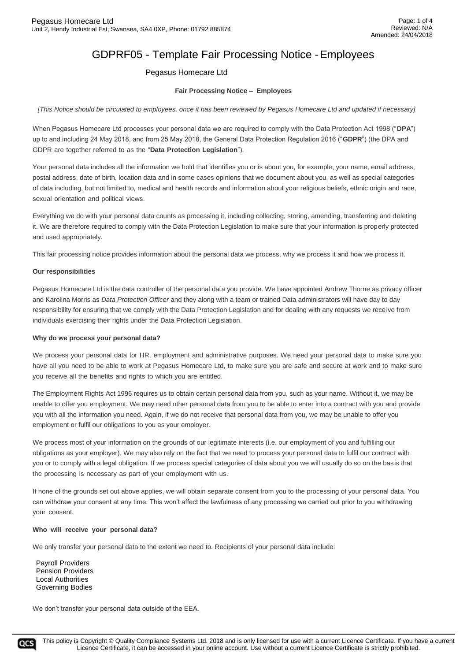## Pegasus Homecare Ltd

## **Fair Processing Notice – Employees**

*[This Notice should be circulated to employees, once it has been reviewed by Pegasus Homecare Ltd and updated if necessary]*

When Pegasus Homecare Ltd processes your personal data we are required to comply with the Data Protection Act 1998 ("**DPA**") up to and including 24 May 2018, and from 25 May 2018, the General Data Protection Regulation 2016 ("**GDPR**") (the DPA and GDPR are together referred to as the "**Data Protection Legislation**").

Your personal data includes all the information we hold that identifies you or is about you, for example, your name, email address, postal address, date of birth, location data and in some cases opinions that we document about you, as well as special categories of data including, but not limited to, medical and health records and information about your religious beliefs, ethnic origin and race, sexual orientation and political views.

Everything we do with your personal data counts as processing it, including collecting, storing, amending, transferring and deleting it. We are therefore required to comply with the Data Protection Legislation to make sure that your information is properly protected and used appropriately.

This fair processing notice provides information about the personal data we process, why we process it and how we process it.

#### **Our responsibilities**

Pegasus Homecare Ltd is the data controller of the personal data you provide. We have appointed Andrew Thorne as privacy officer and Karolina Morris as *Data Protection Officer* and they along with a team or trained Data administrators will have day to day responsibility for ensuring that we comply with the Data Protection Legislation and for dealing with any requests we receive from individuals exercising their rights under the Data Protection Legislation.

#### **Why do we process your personal data?**

We process your personal data for HR, employment and administrative purposes. We need your personal data to make sure you have all you need to be able to work at Pegasus Homecare Ltd, to make sure you are safe and secure at work and to make sure you receive all the benefits and rights to which you are entitled.

The Employment Rights Act 1996 requires us to obtain certain personal data from you, such as your name. Without it, we may be unable to offer you employment. We may need other personal data from you to be able to enter into a contract with you and provide you with all the information you need. Again, if we do not receive that personal data from you, we may be unable to offer you employment or fulfil our obligations to you as your employer.

We process most of your information on the grounds of our legitimate interests (i.e. our employment of you and fulfilling our obligations as your employer). We may also rely on the fact that we need to process your personal data to fulfil our contract with you or to comply with a legal obligation. If we process special categories of data about you we will usually do so on the basis that the processing is necessary as part of your employment with us.

If none of the grounds set out above applies, we will obtain separate consent from you to the processing of your personal data. You can withdraw your consent at any time. This won't affect the lawfulness of any processing we carried out prior to you withdrawing your consent.

#### **Who will receive your personal data?**

We only transfer your personal data to the extent we need to. Recipients of your personal data include:

Payroll Providers Pension Providers Local Authorities Governing Bodies

We don't transfer your personal data outside of the EEA.

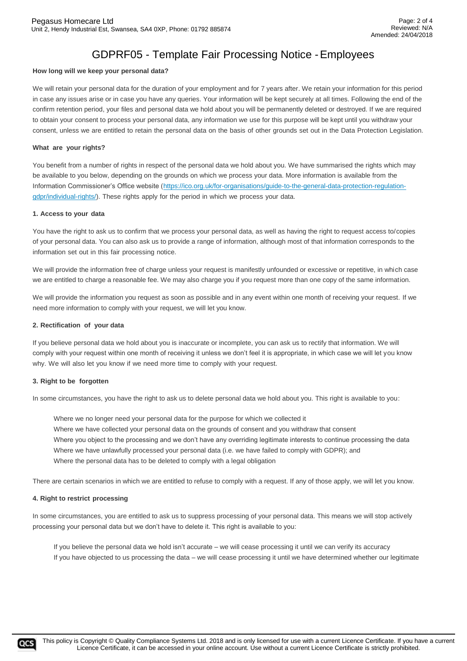#### **How long will we keep your personal data?**

We will retain your personal data for the duration of your employment and for 7 years after. We retain your information for this period in case any issues arise or in case you have any queries. Your information will be kept securely at all times. Following the end of the confirm retention period, your files and personal data we hold about you will be permanently deleted or destroyed. If we are required to obtain your consent to process your personal data, any information we use for this purpose will be kept until you withdraw your consent, unless we are entitled to retain the personal data on the basis of other grounds set out in the Data Protection Legislation.

#### **What are your rights?**

You benefit from a number of rights in respect of the personal data we hold about you. We have summarised the rights which may be available to you below, depending on the grounds on which we process your data. More information is available from the Information Commissioner's Office website (https://ico.org.uk/for-organisations/guide-to-the-general-data-protection-regulationgdpr/individual-rights/). These rights apply for the period in which we process your data.

#### **1. Access to your data**

You have the right to ask us to confirm that we process your personal data, as well as having the right to request access to/copies of your personal data. You can also ask us to provide a range of information, although most of that information corresponds to the information set out in this fair processing notice.

We will provide the information free of charge unless your request is manifestly unfounded or excessive or repetitive, in which case we are entitled to charge a reasonable fee. We may also charge you if you request more than one copy of the same information.

We will provide the information you request as soon as possible and in any event within one month of receiving your request. If we need more information to comply with your request, we will let you know.

#### **2. Rectification of your data**

If you believe personal data we hold about you is inaccurate or incomplete, you can ask us to rectify that information. We will comply with your request within one month of receiving it unless we don't feel it is appropriate, in which case we will let you know why. We will also let you know if we need more time to comply with your request.

#### **3. Right to be forgotten**

In some circumstances, you have the right to ask us to delete personal data we hold about you. This right is available to you:

Where we no longer need your personal data for the purpose for which we collected it Where we have collected your personal data on the grounds of consent and you withdraw that consent Where you object to the processing and we don't have any overriding legitimate interests to continue processing the data Where we have unlawfully processed your personal data (i.e. we have failed to comply with GDPR); and Where the personal data has to be deleted to comply with a legal obligation

There are certain scenarios in which we are entitled to refuse to comply with a request. If any of those apply, we will let you know.

#### **4. Right to restrict processing**

In some circumstances, you are entitled to ask us to suppress processing of your personal data. This means we will stop actively processing your personal data but we don't have to delete it. This right is available to you:

If you believe the personal data we hold isn't accurate – we will cease processing it until we can verify its accuracy If you have objected to us processing the data – we will cease processing it until we have determined whether our legitimate

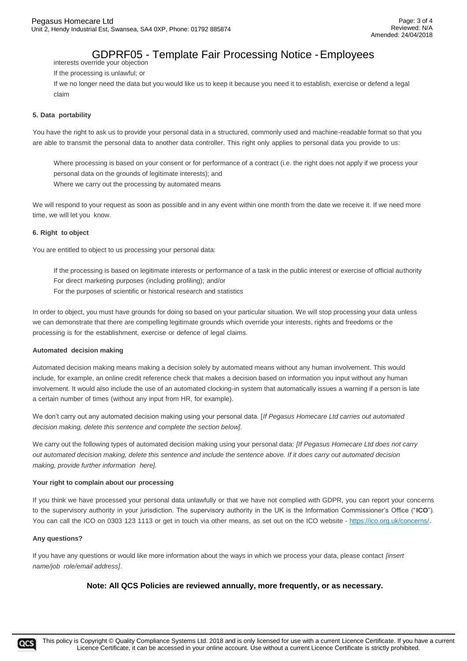interests override your objection If the processing is unlawful; or

If we no longer need the data but you would like us to keep it because you need it to establish, exercise or defend a legal claim

## **5. Data portability**

You have the right to ask us to provide your personal data in a structured, commonly used and machine-readable format so that you are able to transmit the personal data to another data controller. This right only applies to personal data you provide to us:

Where processing is based on your consent or for performance of a contract (i.e. the right does not apply if we process your personal data on the grounds of legitimate interests); and Where we carry out the processing by automated means

We will respond to your request as soon as possible and in any event within one month from the date we receive it. If we need more time, we will let you know.

## **6. Right to object**

You are entitled to object to us processing your personal data:

- If the processing is based on legitimate interests or performance of a task in the public interest or exercise of official authority For direct marketing purposes (including profiling); and/or
- For the purposes of scientific or historical research and statistics

In order to object, you must have grounds for doing so based on your particular situation. We will stop processing your data unless we can demonstrate that there are compelling legitimate grounds which override your interests, rights and freedoms or the processing is for the establishment, exercise or defence of legal claims.

## **Automated decision making**

Automated decision making means making a decision solely by automated means without any human involvement. This would include, for example, an online credit reference check that makes a decision based on information you input without any human involvement. It would also include the use of an automated clocking-in system that automatically issues a warning if a person is late a certain number of times (without any input from HR, for example).

We don't carry out any automated decision making using your personal data. [*If Pegasus Homecare Ltd carries out automated decision making, delete this sentence and complete the section below].*

We carry out the following types of automated decision making using your personal data: *[If Pegasus Homecare Ltd does not carry out automated decision making, delete this sentence and include the sentence above. If it does carry out automated decision making, provide further information here].*

#### **Your right to complain about our processing**

If you think we have processed your personal data unlawfully or that we have not complied with GDPR, you can report your concerns to the supervisory authority in your jurisdiction. The supervisory authority in the UK is the Information Commissioner's Office ("**ICO**"). You can call the ICO on 0303 123 1113 or get in touch via other means, as set out on the ICO website - https://ico.org.uk/concerns/.

## **Any questions?**

If you have any questions or would like more information about the ways in which we process your data, please contact *[insert name/job role/email address]*.

## **Note: All QCS Policies are reviewed annually, more frequently, or as necessary.**